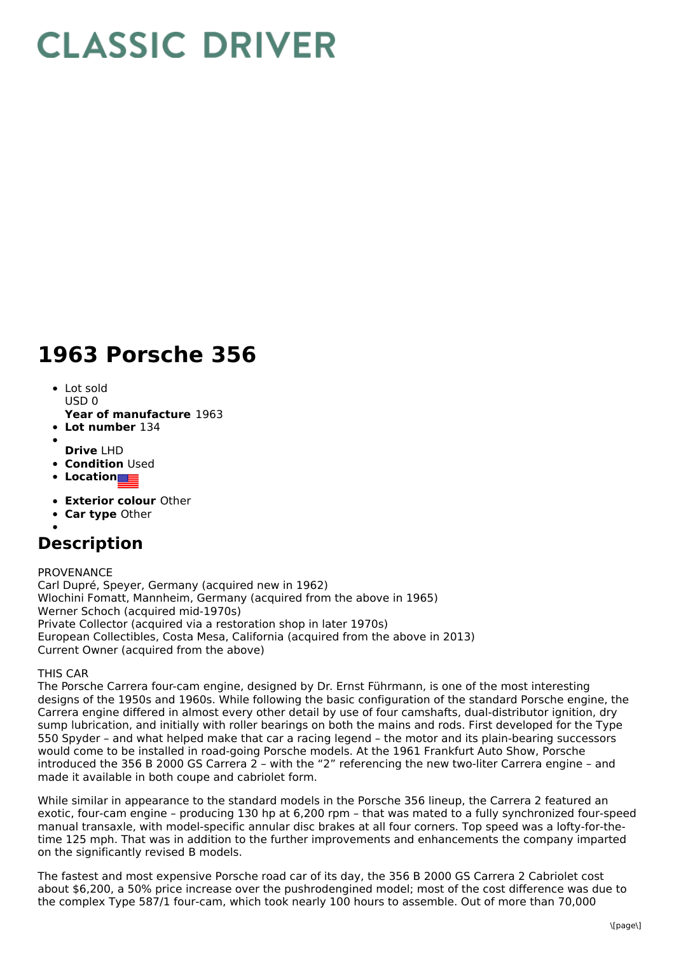## **CLASSIC DRIVER**

## **1963 Porsche 356**

- Lot sold  $USDO$
- **Year of manufacture** 1963
- **Lot number** 134
- **Drive** LHD
- **Condition Used**
- **Location**
- **Exterior colour** Other
- **Car type** Other
- 

## **Description**

PROVENANCE

Carl Dupré, Speyer, Germany (acquired new in 1962) Wlochini Fomatt, Mannheim, Germany (acquired from the above in 1965) Werner Schoch (acquired mid-1970s) Private Collector (acquired via a restoration shop in later 1970s) European Collectibles, Costa Mesa, California (acquired from the above in 2013) Current Owner (acquired from the above)

THIS CAR

The Porsche Carrera four-cam engine, designed by Dr. Ernst Führmann, is one of the most interesting designs of the 1950s and 1960s. While following the basic configuration of the standard Porsche engine, the Carrera engine differed in almost every other detail by use of four camshafts, dual-distributor ignition, dry sump lubrication, and initially with roller bearings on both the mains and rods. First developed for the Type 550 Spyder – and what helped make that car a racing legend – the motor and its plain-bearing successors would come to be installed in road-going Porsche models. At the 1961 Frankfurt Auto Show, Porsche introduced the 356 B 2000 GS Carrera 2 – with the "2" referencing the new two-liter Carrera engine – and made it available in both coupe and cabriolet form.

While similar in appearance to the standard models in the Porsche 356 lineup, the Carrera 2 featured an exotic, four-cam engine – producing 130 hp at 6,200 rpm – that was mated to a fully synchronized four-speed manual transaxle, with model-specific annular disc brakes at all four corners. Top speed was a lofty-for-thetime 125 mph. That was in addition to the further improvements and enhancements the company imparted on the significantly revised B models.

The fastest and most expensive Porsche road car of its day, the 356 B 2000 GS Carrera 2 Cabriolet cost about \$6,200, a 50% price increase over the pushrodengined model; most of the cost difference was due to the complex Type 587/1 four-cam, which took nearly 100 hours to assemble. Out of more than 70,000